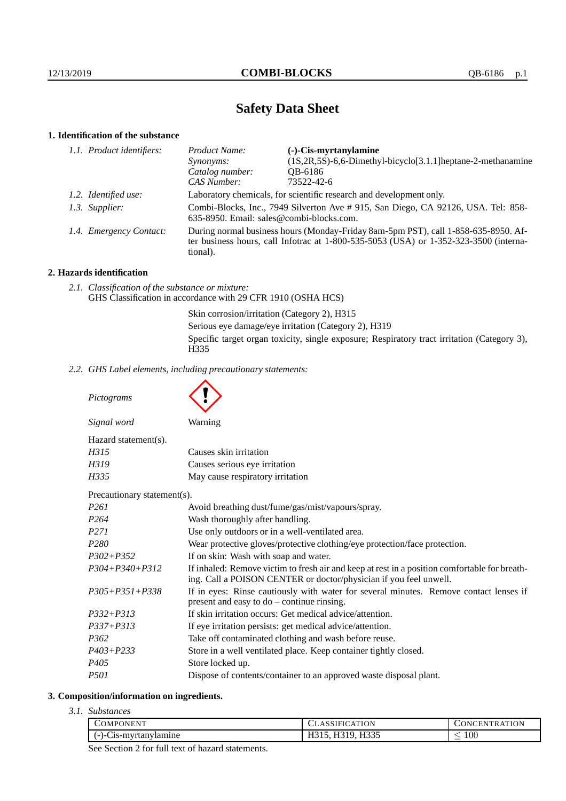# **Safety Data Sheet**

# **1. Identification of the substance**

| 1.1. Product identifiers: | Product Name:                                                                                                                                                                           | $(-)$ -Cis-myrtanylamine                                             |  |
|---------------------------|-----------------------------------------------------------------------------------------------------------------------------------------------------------------------------------------|----------------------------------------------------------------------|--|
|                           | Synonyms:                                                                                                                                                                               | $(1S, 2R, 5S)$ -6,6-Dimethyl-bicyclo $[3.1.1]$ heptane-2-methanamine |  |
|                           | Catalog number:                                                                                                                                                                         | QB-6186                                                              |  |
|                           | CAS Number:                                                                                                                                                                             | 73522-42-6                                                           |  |
| 1.2. Identified use:      | Laboratory chemicals, for scientific research and development only.                                                                                                                     |                                                                      |  |
| 1.3. Supplier:            | Combi-Blocks, Inc., 7949 Silverton Ave #915, San Diego, CA 92126, USA. Tel: 858-<br>635-8950. Email: sales@combi-blocks.com.                                                            |                                                                      |  |
| 1.4. Emergency Contact:   | During normal business hours (Monday-Friday 8am-5pm PST), call 1-858-635-8950. Af-<br>ter business hours, call Infotrac at 1-800-535-5053 (USA) or 1-352-323-3500 (interna-<br>tional). |                                                                      |  |

## **2. Hazards identification**

*2.1. Classification of the substance or mixture:* GHS Classification in accordance with 29 CFR 1910 (OSHA HCS)

> Skin corrosion/irritation (Category 2), H315 Serious eye damage/eye irritation (Category 2), H319 Specific target organ toxicity, single exposure; Respiratory tract irritation (Category 3), H335

*2.2. GHS Label elements, including precautionary statements:*

*Pictograms*

| Signal word          | Warning                          |
|----------------------|----------------------------------|
| Hazard statement(s). |                                  |
| H315                 | Causes skin irritation           |
| H319                 | Causes serious eye irritation    |
| H335                 | May cause respiratory irritation |

Precautionary statement(s).

| P261           | Avoid breathing dust/fume/gas/mist/vapours/spray.                                                                                                                  |  |  |
|----------------|--------------------------------------------------------------------------------------------------------------------------------------------------------------------|--|--|
| P264           | Wash thoroughly after handling.                                                                                                                                    |  |  |
| P271           | Use only outdoors or in a well-ventilated area.                                                                                                                    |  |  |
| P280           | Wear protective gloves/protective clothing/eye protection/face protection.                                                                                         |  |  |
| P302+P352      | If on skin: Wash with soap and water.                                                                                                                              |  |  |
| P304+P340+P312 | If inhaled: Remove victim to fresh air and keep at rest in a position comfortable for breath-<br>ing. Call a POISON CENTER or doctor/physician if you feel unwell. |  |  |
| P305+P351+P338 | If in eyes: Rinse cautiously with water for several minutes. Remove contact lenses if<br>present and easy to $do$ – continue rinsing.                              |  |  |
| P332+P313      | If skin irritation occurs: Get medical advice/attention.                                                                                                           |  |  |
| P337+P313      | If eye irritation persists: get medical advice/attention.                                                                                                          |  |  |
| P362           | Take off contaminated clothing and wash before reuse.                                                                                                              |  |  |
| P403+P233      | Store in a well ventilated place. Keep container tightly closed.                                                                                                   |  |  |
| P405           | Store locked up.                                                                                                                                                   |  |  |
| P501           | Dispose of contents/container to an approved waste disposal plant.                                                                                                 |  |  |
|                |                                                                                                                                                                    |  |  |

### **3. Composition/information on ingredients.**

*3.1. Substances*

| COMPONENT!<br>the contract of the contract of the contract of | ATION                          | <b>TRATION</b><br><b>INI</b><br>нN |
|---------------------------------------------------------------|--------------------------------|------------------------------------|
| $\sim$<br>rtanylamıne<br>$C1S-mvr$<br>$-1-1$                  | <b>H335</b><br>11010,<br>11JJJ | $100\,$<br>_                       |
|                                                               |                                |                                    |

See Section 2 for full text of hazard statements.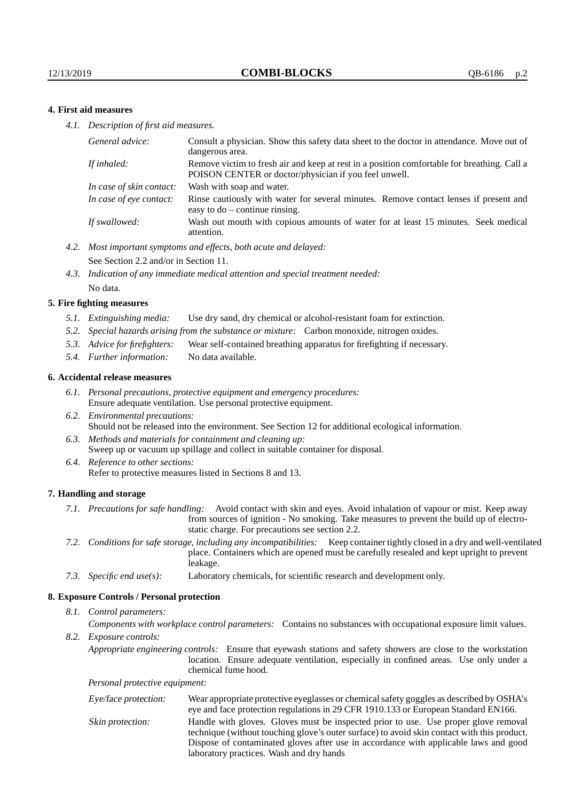### **4. First aid measures**

*4.1. Description of first aid measures.*

| Consult a physician. Show this safety data sheet to the doctor in attendance. Move out of<br>dangerous area.                                         |
|------------------------------------------------------------------------------------------------------------------------------------------------------|
| Remove victim to fresh air and keep at rest in a position comfortable for breathing. Call a<br>POISON CENTER or doctor/physician if you feel unwell. |
| Wash with soap and water.                                                                                                                            |
| Rinse cautiously with water for several minutes. Remove contact lenses if present and<br>easy to $do$ – continue rinsing.                            |
| Wash out mouth with copious amounts of water for at least 15 minutes. Seek medical<br>attention.                                                     |
|                                                                                                                                                      |

- *4.2. Most important symptoms and effects, both acute and delayed:* See Section 2.2 and/or in Section 11.
- *4.3. Indication of any immediate medical attention and special treatment needed:* No data.

#### **5. Fire fighting measures**

- *5.1. Extinguishing media:* Use dry sand, dry chemical or alcohol-resistant foam for extinction.
- *5.2. Special hazards arising from the substance or mixture:* Carbon monoxide, nitrogen oxides.
- *5.3. Advice for firefighters:* Wear self-contained breathing apparatus for firefighting if necessary.
- *5.4. Further information:* No data available.

#### **6. Accidental release measures**

- *6.1. Personal precautions, protective equipment and emergency procedures:* Ensure adequate ventilation. Use personal protective equipment.
- *6.2. Environmental precautions:* Should not be released into the environment. See Section 12 for additional ecological information.
- *6.3. Methods and materials for containment and cleaning up:* Sweep up or vacuum up spillage and collect in suitable container for disposal.
- *6.4. Reference to other sections:* Refer to protective measures listed in Sections 8 and 13.

#### **7. Handling and storage**

- *7.1. Precautions for safe handling:* Avoid contact with skin and eyes. Avoid inhalation of vapour or mist. Keep away from sources of ignition - No smoking. Take measures to prevent the build up of electrostatic charge. For precautions see section 2.2.
- *7.2. Conditions for safe storage, including any incompatibilities:* Keep container tightly closed in a dry and well-ventilated place. Containers which are opened must be carefully resealed and kept upright to prevent leakage.
- *7.3. Specific end use(s):* Laboratory chemicals, for scientific research and development only.

#### **8. Exposure Controls / Personal protection**

*8.1. Control parameters:*

*Components with workplace control parameters:* Contains no substances with occupational exposure limit values.

*8.2. Exposure controls:*

*Appropriate engineering controls:* Ensure that eyewash stations and safety showers are close to the workstation location. Ensure adequate ventilation, especially in confined areas. Use only under a chemical fume hood.

*Personal protective equipment:*

| Eye/face protection: | Wear appropriate protective eyeglasses or chemical safety goggles as described by OSHA's<br>eye and face protection regulations in 29 CFR 1910.133 or European Standard EN166.                                                                                                                                         |
|----------------------|------------------------------------------------------------------------------------------------------------------------------------------------------------------------------------------------------------------------------------------------------------------------------------------------------------------------|
| Skin protection:     | Handle with gloves. Gloves must be inspected prior to use. Use proper glove removal<br>technique (without touching glove's outer surface) to avoid skin contact with this product.<br>Dispose of contaminated gloves after use in accordance with applicable laws and good<br>laboratory practices. Wash and dry hands |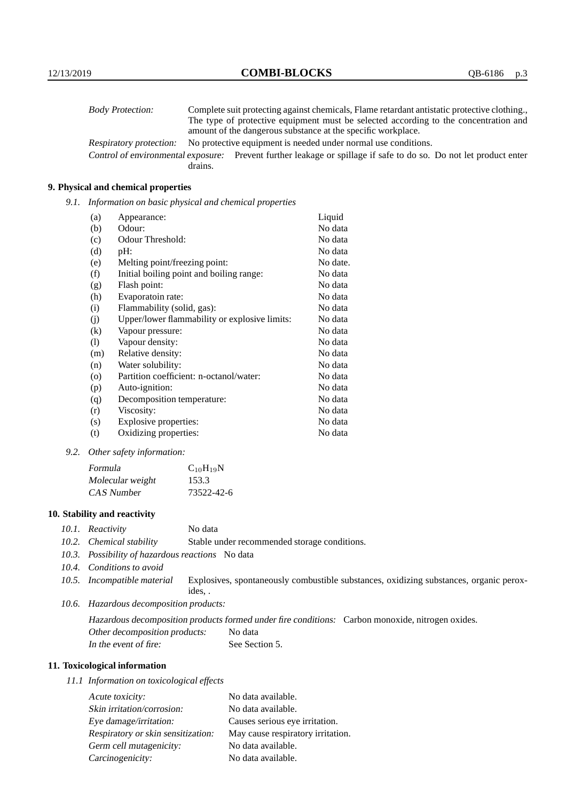| <b>Body Protection:</b>            | Complete suit protecting against chemicals, Flame retardant antistatic protective clothing. |
|------------------------------------|---------------------------------------------------------------------------------------------|
|                                    | The type of protective equipment must be selected according to the concentration and        |
|                                    | amount of the dangerous substance at the specific workplace.                                |
| Respiratory protection:            | No protective equipment is needed under normal use conditions.                              |
| Control of environmental exposure: | Prevent further leakage or spillage if safe to do so. Do not let product enter              |
|                                    | drains.                                                                                     |

## **9. Physical and chemical properties**

*9.1. Information on basic physical and chemical properties*

| (a)      | Appearance:                                   | Liquid   |
|----------|-----------------------------------------------|----------|
| (b)      | Odour:                                        | No data  |
| (c)      | Odour Threshold:                              | No data  |
| (d)      | pH:                                           | No data  |
| (e)      | Melting point/freezing point:                 | No date. |
| (f)      | Initial boiling point and boiling range:      | No data  |
| (g)      | Flash point:                                  | No data  |
| (h)      | Evaporatoin rate:                             | No data  |
| (i)      | Flammability (solid, gas):                    | No data  |
| (j)      | Upper/lower flammability or explosive limits: | No data  |
| $\rm(k)$ | Vapour pressure:                              | No data  |
| (1)      | Vapour density:                               | No data  |
| (m)      | Relative density:                             | No data  |
| (n)      | Water solubility:                             | No data  |
| $\circ$  | Partition coefficient: n-octanol/water:       | No data  |
| (p)      | Auto-ignition:                                | No data  |
| (q)      | Decomposition temperature:                    | No data  |
| (r)      | Viscosity:                                    | No data  |
| (s)      | Explosive properties:                         | No data  |
| (t)      | Oxidizing properties:                         | No data  |

*9.2. Other safety information:*

| Formula          | $C_{10}H_{19}N$ |
|------------------|-----------------|
| Molecular weight | 153.3           |
| CAS Number       | 73522-42-6      |

## **10. Stability and reactivity**

- *10.1. Reactivity* No data
- *10.2. Chemical stability* Stable under recommended storage conditions.
- *10.3. Possibility of hazardous reactions* No data
- *10.4. Conditions to avoid*
- *10.5. Incompatible material* Explosives, spontaneously combustible substances, oxidizing substances, organic peroxides, .
- *10.6. Hazardous decomposition products:*

Hazardous decomposition products formed under fire conditions: Carbon monoxide, nitrogen oxides. Other decomposition products: No data In the event of fire: See Section 5.

## **11. Toxicological information**

*11.1 Information on toxicological effects*

| Acute toxicity:                    | No data available.                |
|------------------------------------|-----------------------------------|
| Skin irritation/corrosion:         | No data available.                |
| Eye damage/irritation:             | Causes serious eye irritation.    |
| Respiratory or skin sensitization: | May cause respiratory irritation. |
| Germ cell mutagenicity:            | No data available.                |
| Carcinogenicity:                   | No data available.                |